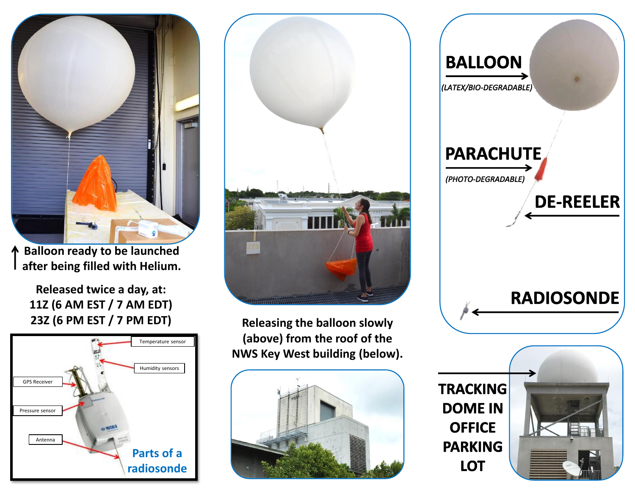

**Balloon ready to be launched after being filled with Helium.**

> **Released twice a day, at: 11Z (6 AM EST / 7 AM EDT) 23Z (6 PM EST / 7 PM EDT)**





**Releasing the balloon slowly (above) from the roof of the NWS Key West building (below).**